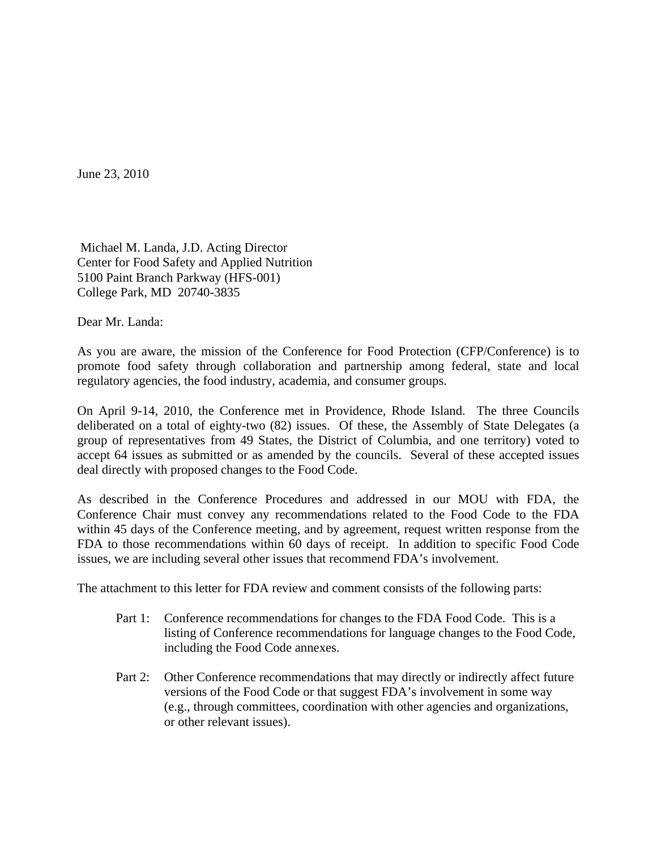June 23, 2010

 Michael M. Landa, J.D. Acting Director Center for Food Safety and Applied Nutrition 5100 Paint Branch Parkway (HFS-001) College Park, MD 20740-3835

Dear Mr. Landa:

As you are aware, the mission of the Conference for Food Protection (CFP/Conference) is to promote food safety through collaboration and partnership among federal, state and local regulatory agencies, the food industry, academia, and consumer groups.

On April 9-14, 2010, the Conference met in Providence, Rhode Island. The three Councils deliberated on a total of eighty-two (82) issues. Of these, the Assembly of State Delegates (a group of representatives from 49 States, the District of Columbia, and one territory) voted to accept 64 issues as submitted or as amended by the councils. Several of these accepted issues deal directly with proposed changes to the Food Code.

As described in the Conference Procedures and addressed in our MOU with FDA, the Conference Chair must convey any recommendations related to the Food Code to the FDA within 45 days of the Conference meeting, and by agreement, request written response from the FDA to those recommendations within 60 days of receipt. In addition to specific Food Code issues, we are including several other issues that recommend FDA's involvement.

The attachment to this letter for FDA review and comment consists of the following parts:

- Part 1: Conference recommendations for changes to the FDA Food Code. This is a listing of Conference recommendations for language changes to the Food Code, including the Food Code annexes.
- Part 2: Other Conference recommendations that may directly or indirectly affect future versions of the Food Code or that suggest FDA's involvement in some way (e.g., through committees, coordination with other agencies and organizations, or other relevant issues).